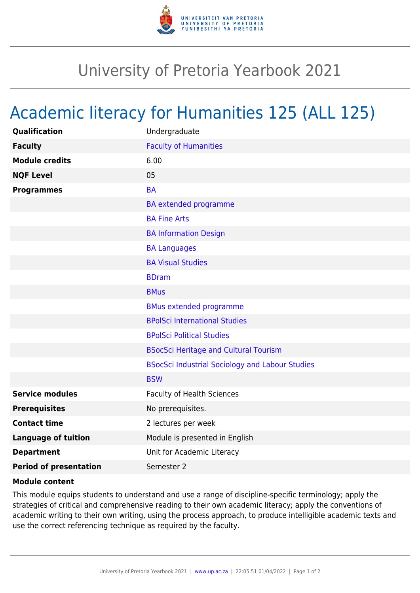

## University of Pretoria Yearbook 2021

## Academic literacy for Humanities 125 (ALL 125)

| <b>Qualification</b>          | Undergraduate                                          |
|-------------------------------|--------------------------------------------------------|
| <b>Faculty</b>                | <b>Faculty of Humanities</b>                           |
| <b>Module credits</b>         | 6.00                                                   |
| <b>NQF Level</b>              | 05                                                     |
| <b>Programmes</b>             | <b>BA</b>                                              |
|                               | <b>BA</b> extended programme                           |
|                               | <b>BA Fine Arts</b>                                    |
|                               | <b>BA Information Design</b>                           |
|                               | <b>BA Languages</b>                                    |
|                               | <b>BA Visual Studies</b>                               |
|                               | <b>BDram</b>                                           |
|                               | <b>BMus</b>                                            |
|                               | <b>BMus extended programme</b>                         |
|                               | <b>BPolSci International Studies</b>                   |
|                               | <b>BPolSci Political Studies</b>                       |
|                               | <b>BSocSci Heritage and Cultural Tourism</b>           |
|                               | <b>BSocSci Industrial Sociology and Labour Studies</b> |
|                               | <b>BSW</b>                                             |
| <b>Service modules</b>        | <b>Faculty of Health Sciences</b>                      |
| <b>Prerequisites</b>          | No prerequisites.                                      |
| <b>Contact time</b>           | 2 lectures per week                                    |
| <b>Language of tuition</b>    | Module is presented in English                         |
| <b>Department</b>             | Unit for Academic Literacy                             |
| <b>Period of presentation</b> | Semester 2                                             |

## **Module content**

This module equips students to understand and use a range of discipline-specific terminology; apply the strategies of critical and comprehensive reading to their own academic literacy; apply the conventions of academic writing to their own writing, using the process approach, to produce intelligible academic texts and use the correct referencing technique as required by the faculty.